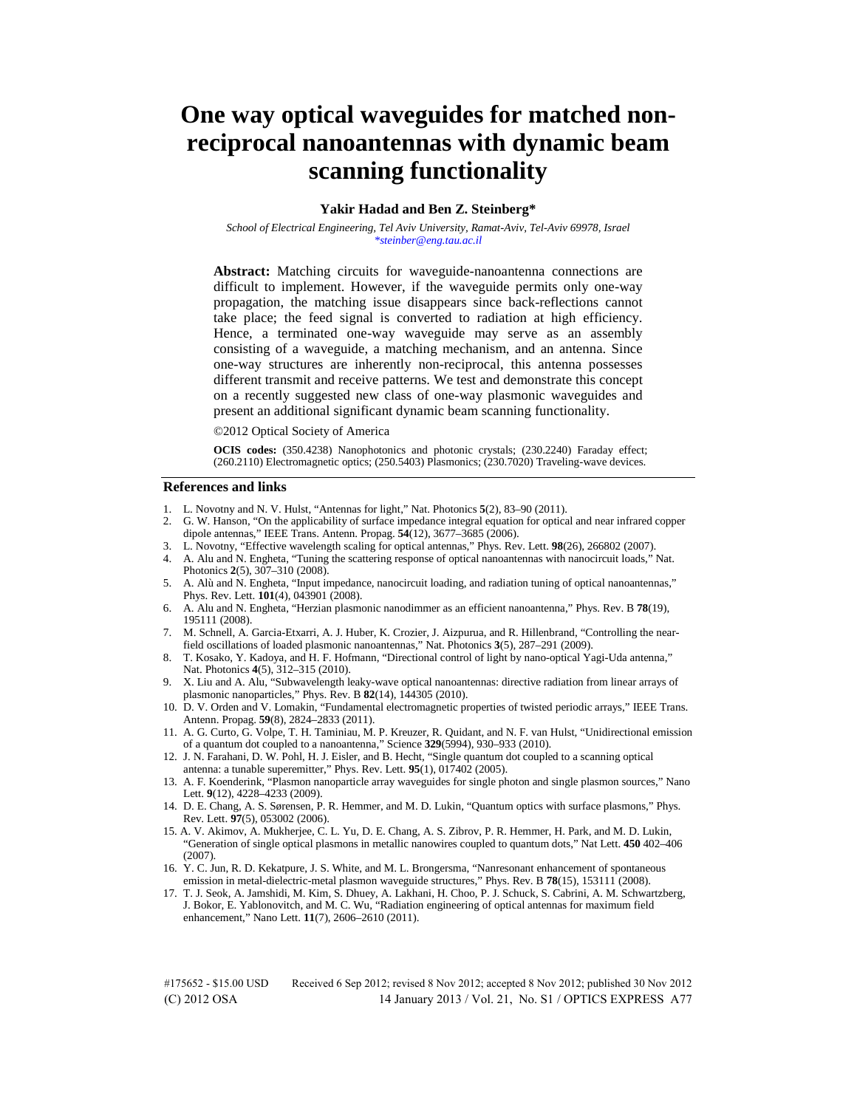# **One way optical waveguides for matched nonreciprocal nanoantennas with dynamic beam scanning functionality**

## **Yakir Hadad and Ben Z. Steinberg\***

*School of Electrical Engineering, Tel Aviv University, Ramat-Aviv, Tel-Aviv 69978, Israel \*steinber@eng.tau.ac.il*

**Abstract:** Matching circuits for waveguide-nanoantenna connections are difficult to implement. However, if the waveguide permits only one-way propagation, the matching issue disappears since back-reflections cannot take place; the feed signal is converted to radiation at high efficiency. Hence, a terminated one-way waveguide may serve as an assembly consisting of a waveguide, a matching mechanism, and an antenna. Since one-way structures are inherently non-reciprocal, this antenna possesses different transmit and receive patterns. We test and demonstrate this concept on a recently suggested new class of one-way plasmonic waveguides and present an additional significant dynamic beam scanning functionality.

©2012 Optical Society of America

**OCIS codes:** (350.4238) Nanophotonics and photonic crystals; (230.2240) Faraday effect; (260.2110) Electromagnetic optics; (250.5403) Plasmonics; (230.7020) Traveling-wave devices.

#### **References and links**

- 1. L. Novotny and N. V. Hulst, "Antennas for light," Nat. Photonics **5**(2), 83–90 (2011).
- 2. G. W. Hanson, "On the applicability of surface impedance integral equation for optical and near infrared copper dipole antennas," IEEE Trans. Antenn. Propag. **54**(12), 3677–3685 (2006).
- 3. L. Novotny, "Effective wavelength scaling for optical antennas," Phys. Rev. Lett. **98**(26), 266802 (2007).
- 4. A. Alu and N. Engheta, "Tuning the scattering response of optical nanoantennas with nanocircuit loads," Nat. Photonics **2**(5), 307–310 (2008).
- 5. A. Alù and N. Engheta, "Input impedance, nanocircuit loading, and radiation tuning of optical nanoantennas," Phys. Rev. Lett. **101**(4), 043901 (2008).
- 6. A. Alu and N. Engheta, "Herzian plasmonic nanodimmer as an efficient nanoantenna," Phys. Rev. B **78**(19), 195111 (2008).
- 7. M. Schnell, A. Garcia-Etxarri, A. J. Huber, K. Crozier, J. Aizpurua, and R. Hillenbrand, "Controlling the nearfield oscillations of loaded plasmonic nanoantennas," Nat. Photonics **3**(5), 287–291 (2009).
- 8. T. Kosako, Y. Kadoya, and H. F. Hofmann, "Directional control of light by nano-optical Yagi-Uda antenna," Nat. Photonics **4**(5), 312–315 (2010).
- 9. X. Liu and A. Alu, "Subwavelength leaky-wave optical nanoantennas: directive radiation from linear arrays of plasmonic nanoparticles," Phys. Rev. B **82**(14), 144305 (2010).
- 10. D. V. Orden and V. Lomakin, "Fundamental electromagnetic properties of twisted periodic arrays," IEEE Trans. Antenn. Propag. **59**(8), 2824–2833 (2011).
- 11. A. G. Curto, G. Volpe, T. H. Taminiau, M. P. Kreuzer, R. Quidant, and N. F. van Hulst, "Unidirectional emission of a quantum dot coupled to a nanoantenna," Science **329**(5994), 930–933 (2010).
- 12. J. N. Farahani, D. W. Pohl, H. J. Eisler, and B. Hecht, "Single quantum dot coupled to a scanning optical antenna: a tunable superemitter," Phys. Rev. Lett. **95**(1), 017402 (2005).
- 13. A. F. Koenderink, "Plasmon nanoparticle array waveguides for single photon and single plasmon sources," Nano Lett. **9**(12), 4228–4233 (2009).
- 14. D. E. Chang, A. S. Sørensen, P. R. Hemmer, and M. D. Lukin, "Quantum optics with surface plasmons," Phys. Rev. Lett. **97**(5), 053002 (2006).
- 15. A. V. Akimov, A. Mukherjee, C. L. Yu, D. E. Chang, A. S. Zibrov, P. R. Hemmer, H. Park, and M. D. Lukin, "Generation of single optical plasmons in metallic nanowires coupled to quantum dots," Nat Lett. **450** 402–406 (2007).
- 16. Y. C. Jun, R. D. Kekatpure, J. S. White, and M. L. Brongersma, "Nanresonant enhancement of spontaneous emission in metal-dielectric-metal plasmon waveguide structures," Phys. Rev. B **78**(15), 153111 (2008).
- 17. T. J. Seok, A. Jamshidi, M. Kim, S. Dhuey, A. Lakhani, H. Choo, P. J. Schuck, S. Cabrini, A. M. Schwartzberg, J. Bokor, E. Yablonovitch, and M. C. Wu, "Radiation engineering of optical antennas for maximum field enhancement," Nano Lett. **11**(7), 2606–2610 (2011).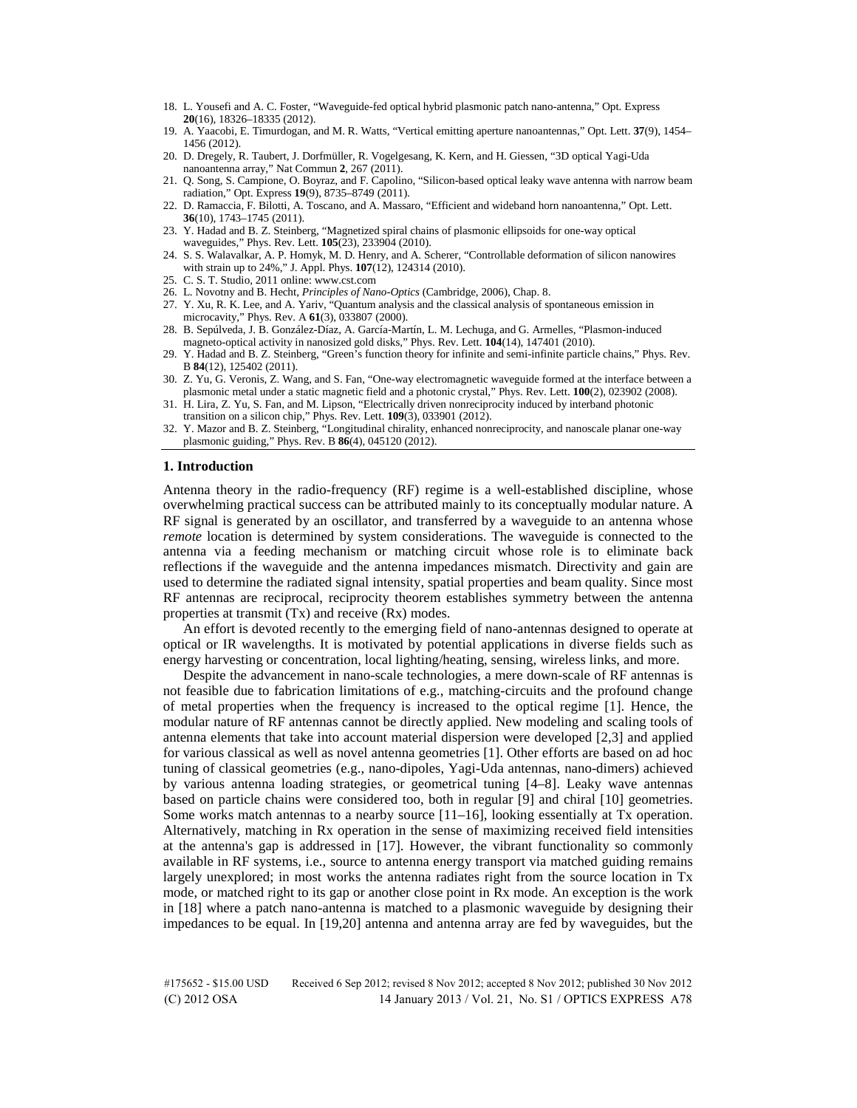- 18. L. Yousefi and A. C. Foster, "Waveguide-fed optical hybrid plasmonic patch nano-antenna," Opt. Express **20**(16), 18326–18335 (2012).
- 19. A. Yaacobi, E. Timurdogan, and M. R. Watts, "Vertical emitting aperture nanoantennas," Opt. Lett. **37**(9), 1454– 1456 (2012).
- 20. D. Dregely, R. Taubert, J. Dorfmüller, R. Vogelgesang, K. Kern, and H. Giessen, "3D optical Yagi-Uda nanoantenna array," Nat Commun **2**, 267 (2011).
- 21. Q. Song, S. Campione, O. Boyraz, and F. Capolino, "Silicon-based optical leaky wave antenna with narrow beam radiation," Opt. Express **19**(9), 8735–8749 (2011).
- 22. D. Ramaccia, F. Bilotti, A. Toscano, and A. Massaro, "Efficient and wideband horn nanoantenna," Opt. Lett. **36**(10), 1743–1745 (2011).
- 23. Y. Hadad and B. Z. Steinberg, "Magnetized spiral chains of plasmonic ellipsoids for one-way optical waveguides," Phys. Rev. Lett. **105**(23), 233904 (2010).
- 24. S. S. Walavalkar, A. P. Homyk, M. D. Henry, and A. Scherer, "Controllable deformation of silicon nanowires with strain up to 24%," J. Appl. Phys. **107**(12), 124314 (2010).
- 25. C. S. T. Studio, 2011 online: www.cst.com
- 26. L. Novotny and B. Hecht, *Principles of Nano-Optics* (Cambridge, 2006), Chap. 8.
- 27. Y. Xu, R. K. Lee, and A. Yariv, "Quantum analysis and the classical analysis of spontaneous emission in microcavity," Phys. Rev. A **61**(3), 033807 (2000).
- 28. B. Sepúlveda, J. B. González-Díaz, A. García-Martín, L. M. Lechuga, and G. Armelles, "Plasmon-induced magneto-optical activity in nanosized gold disks," Phys. Rev. Lett. **104**(14), 147401 (2010).
- 29. Y. Hadad and B. Z. Steinberg, "Green's function theory for infinite and semi-infinite particle chains," Phys. Rev. B **84**(12), 125402 (2011).
- 30. Z. Yu, G. Veronis, Z. Wang, and S. Fan, "One-way electromagnetic waveguide formed at the interface between a plasmonic metal under a static magnetic field and a photonic crystal," Phys. Rev. Lett. **100**(2), 023902 (2008).
- 31. H. Lira, Z. Yu, S. Fan, and M. Lipson, "Electrically driven nonreciprocity induced by interband photonic transition on a silicon chip," Phys. Rev. Lett. **109**(3), 033901 (2012).
- 32. Y. Mazor and B. Z. Steinberg, "Longitudinal chirality, enhanced nonreciprocity, and nanoscale planar one-way plasmonic guiding," Phys. Rev. B **86**(4), 045120 (2012).

#### **1. Introduction**

Antenna theory in the radio-frequency (RF) regime is a well-established discipline, whose overwhelming practical success can be attributed mainly to its conceptually modular nature. A RF signal is generated by an oscillator, and transferred by a waveguide to an antenna whose *remote* location is determined by system considerations. The waveguide is connected to the antenna via a feeding mechanism or matching circuit whose role is to eliminate back reflections if the waveguide and the antenna impedances mismatch. Directivity and gain are used to determine the radiated signal intensity, spatial properties and beam quality. Since most RF antennas are reciprocal, reciprocity theorem establishes symmetry between the antenna properties at transmit (Tx) and receive (Rx) modes.

An effort is devoted recently to the emerging field of nano-antennas designed to operate at optical or IR wavelengths. It is motivated by potential applications in diverse fields such as energy harvesting or concentration, local lighting/heating, sensing, wireless links, and more.

Despite the advancement in nano-scale technologies, a mere down-scale of RF antennas is not feasible due to fabrication limitations of e.g., matching-circuits and the profound change of metal properties when the frequency is increased to the optical regime [1]. Hence, the modular nature of RF antennas cannot be directly applied. New modeling and scaling tools of antenna elements that take into account material dispersion were developed [2,3] and applied for various classical as well as novel antenna geometries [1]. Other efforts are based on ad hoc tuning of classical geometries (e.g., nano-dipoles, Yagi-Uda antennas, nano-dimers) achieved by various antenna loading strategies, or geometrical tuning [4–8]. Leaky wave antennas based on particle chains were considered too, both in regular [9] and chiral [10] geometries. Some works match antennas to a nearby source [11–16], looking essentially at Tx operation. Alternatively, matching in Rx operation in the sense of maximizing received field intensities at the antenna's gap is addressed in [17]. However, the vibrant functionality so commonly available in RF systems, i.e., source to antenna energy transport via matched guiding remains largely unexplored; in most works the antenna radiates right from the source location in Tx mode, or matched right to its gap or another close point in Rx mode. An exception is the work in [18] where a patch nano-antenna is matched to a plasmonic waveguide by designing their impedances to be equal. In [19,20] antenna and antenna array are fed by waveguides, but the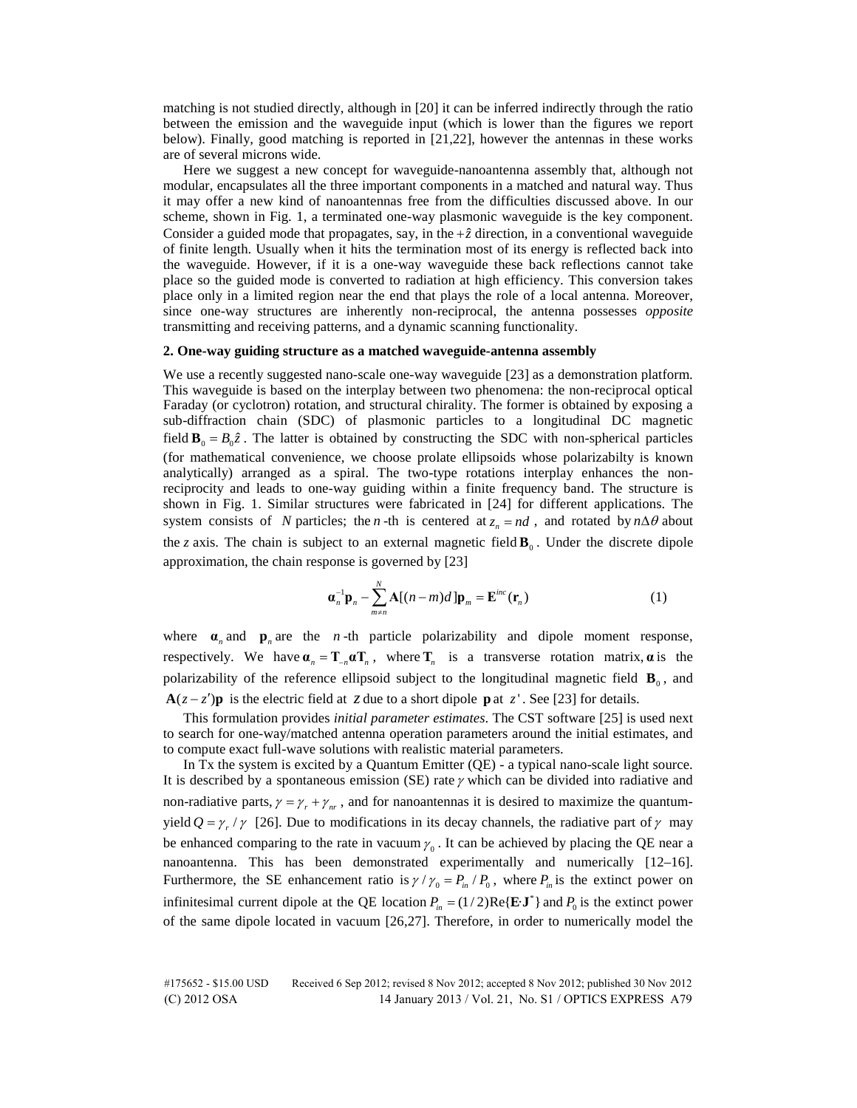matching is not studied directly, although in [20] it can be inferred indirectly through the ratio between the emission and the waveguide input (which is lower than the figures we report below). Finally, good matching is reported in [21,22], however the antennas in these works are of several microns wide.

Here we suggest a new concept for waveguide-nanoantenna assembly that, although not modular, encapsulates all the three important components in a matched and natural way. Thus it may offer a new kind of nanoantennas free from the difficulties discussed above. In our scheme, shown in Fig. 1, a terminated one-way plasmonic waveguide is the key component. Consider a guided mode that propagates, say, in the  $+\hat{z}$  direction, in a conventional waveguide of finite length. Usually when it hits the termination most of its energy is reflected back into the waveguide. However, if it is a one-way waveguide these back reflections cannot take place so the guided mode is converted to radiation at high efficiency. This conversion takes place only in a limited region near the end that plays the role of a local antenna. Moreover, since one-way structures are inherently non-reciprocal, the antenna possesses *opposite* transmitting and receiving patterns, and a dynamic scanning functionality.

# **2. One-way guiding structure as a matched waveguide-antenna assembly**

We use a recently suggested nano-scale one-way waveguide [23] as a demonstration platform. This waveguide is based on the interplay between two phenomena: the non-reciprocal optical Faraday (or cyclotron) rotation, and structural chirality. The former is obtained by exposing a sub-diffraction chain (SDC) of plasmonic particles to a longitudinal DC magnetic field  $\mathbf{B}_0 = B_0 \hat{z}$ . The latter is obtained by constructing the SDC with non-spherical particles (for mathematical convenience, we choose prolate ellipsoids whose polarizabilty is known analytically) arranged as a spiral. The two-type rotations interplay enhances the nonreciprocity and leads to one-way guiding within a finite frequency band. The structure is shown in Fig. 1. Similar structures were fabricated in [24] for different applications. The system consists of *N* particles; the *n* -th is centered at  $z_n = nd$ , and rotated by  $n\Delta\theta$  about the *z* axis. The chain is subject to an external magnetic field  $\mathbf{B}_0$ . Under the discrete dipole approximation, the chain response is governed by [23]

$$
\mathbf{a}_n^{-1}\mathbf{p}_n - \sum_{m \neq n}^{N} \mathbf{A}[(n-m)d] \mathbf{p}_m = \mathbf{E}^{inc}(\mathbf{r}_n)
$$
 (1)

where  $\mathbf{a}_n$  and  $\mathbf{p}_n$  are the *n*-th particle polarizability and dipole moment response, respectively. We have  $\mathbf{\alpha}_n = \mathbf{T}_{-n} \mathbf{\alpha} \mathbf{T}_n$ , where  $\mathbf{T}_n$  is a transverse rotation matrix,  $\mathbf{\alpha}$  is the polarizability of the reference ellipsoid subject to the longitudinal magnetic field  $\mathbf{B}_{0}$ , and **A** $(z - z')$ **p** is the electric field at *z* due to a short dipole **p** at *z*<sup>'</sup>. See [23] for details.

This formulation provides *initial parameter estimates*. The CST software [25] is used next to search for one-way/matched antenna operation parameters around the initial estimates, and to compute exact full-wave solutions with realistic material parameters.

In Tx the system is excited by a Quantum Emitter (QE) - a typical nano-scale light source. It is described by a spontaneous emission (SE) rate  $\gamma$  which can be divided into radiative and non-radiative parts,  $\gamma = \gamma_r + \gamma_w$ , and for nanoantennas it is desired to maximize the quantumyield  $Q = \gamma_r / \gamma$  [26]. Due to modifications in its decay channels, the radiative part of  $\gamma$  may be enhanced comparing to the rate in vacuum  $\gamma_0$ . It can be achieved by placing the QE near a nanoantenna. This has been demonstrated experimentally and numerically [12–16]. Furthermore, the SE enhancement ratio is  $\gamma / \gamma_0 = P_{in}/P_0$ , where  $P_{in}$  is the extinct power on infinitesimal current dipole at the QE location  $P_{in} = (1/2)Re{E \cdot J^*}$  and  $P_0$  is the extinct power of the same dipole located in vacuum [26,27]. Therefore, in order to numerically model the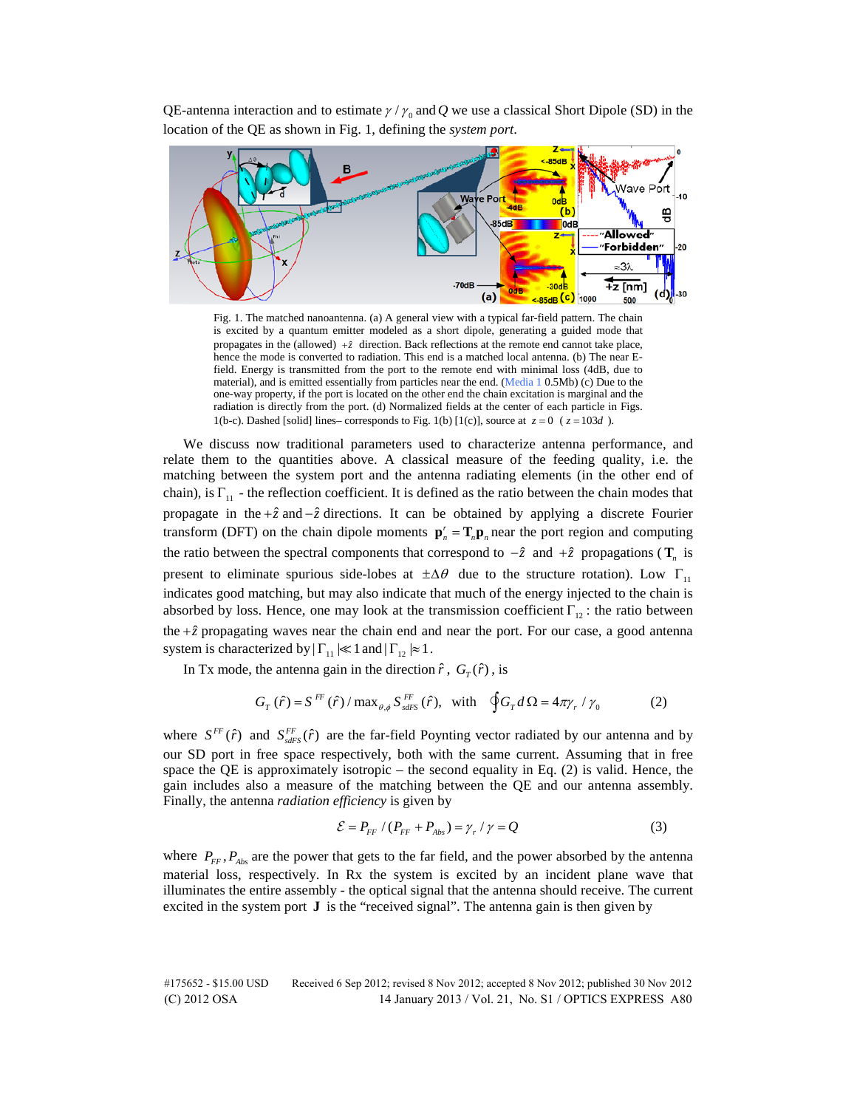QE-antenna interaction and to estimate  $\gamma / \gamma_0$  and *Q* we use a classical Short Dipole (SD) in the location of the QE as shown in Fig. 1, defining the *system port*.



Fig. 1. The matched nanoantenna. (a) A general view with a typical far-field pattern. The chain is excited by a quantum emitter modeled as a short dipole, generating a guided mode that propagates in the (allowed)  $+\hat{z}$  direction. Back reflections at the remote end cannot take place, hence the mode is converted to radiation. This end is a matched local antenna. (b) The near Efield. Energy is transmitted from the port to the remote end with minimal loss (4dB, due to material), and is emitted essentially from particles near the end. ([Media 1](http://www.opticsinfobase.org/oe/viewmedia.cfm?uri=oe-21-S1-A77-1) 0.5Mb) (c) Due to the one-way property, if the port is located on the other end the chain excitation is marginal and the radiation is directly from the port. (d) Normalized fields at the center of each particle in Figs. 1(b-c). Dashed [solid] lines– corresponds to Fig. 1(b) [1(c)], source at  $z = 0$  ( $z = 103d$ ).

We discuss now traditional parameters used to characterize antenna performance, and relate them to the quantities above. A classical measure of the feeding quality, i.e. the matching between the system port and the antenna radiating elements (in the other end of chain), is  $\Gamma_{11}$  - the reflection coefficient. It is defined as the ratio between the chain modes that propagate in the +*z*ˆ and −*z*ˆ directions. It can be obtained by applying a discrete Fourier transform (DFT) on the chain dipole moments  $\mathbf{p}_n^r = \mathbf{T}_n \mathbf{p}_n$  near the port region and computing the ratio between the spectral components that correspond to  $-\hat{z}$  and  $+\hat{z}$  propagations ( $\mathbf{T}_n$  is present to eliminate spurious side-lobes at  $\pm \Delta \theta$  due to the structure rotation). Low  $\Gamma_{11}$ indicates good matching, but may also indicate that much of the energy injected to the chain is absorbed by loss. Hence, one may look at the transmission coefficient  $\Gamma_{12}$ : the ratio between the  $+\hat{z}$  propagating waves near the chain end and near the port. For our case, a good antenna system is characterized by  $|\Gamma_{11}| \ll 1$  and  $|\Gamma_{12}| \approx 1$ .

In Tx mode, the antenna gain in the direction  $\hat{r}$ ,  $G_r(\hat{r})$ , is

$$
G_T(\hat{r}) = S^{FF}(\hat{r}) / \max_{\theta, \phi} S^{FF}_{sdFS}(\hat{r}), \text{ with } \oint G_T d\Omega = 4\pi \gamma_r / \gamma_0 \tag{2}
$$

where  $S^{FF}(\hat{r})$  and  $S_{sdFS}^{FF}(\hat{r})$  are the far-field Poynting vector radiated by our antenna and by our SD port in free space respectively, both with the same current. Assuming that in free space the QE is approximately isotropic – the second equality in Eq.  $(2)$  is valid. Hence, the gain includes also a measure of the matching between the QE and our antenna assembly. Finally, the antenna *radiation efficiency* is given by

$$
\mathcal{E} = P_{FF} / (P_{FF} + P_{Abs}) = \gamma_r / \gamma = Q \tag{3}
$$

where  $P_{FF}$ ,  $P_{Abs}$  are the power that gets to the far field, and the power absorbed by the antenna material loss, respectively. In Rx the system is excited by an incident plane wave that illuminates the entire assembly - the optical signal that the antenna should receive. The current excited in the system port **J** is the "received signal". The antenna gain is then given by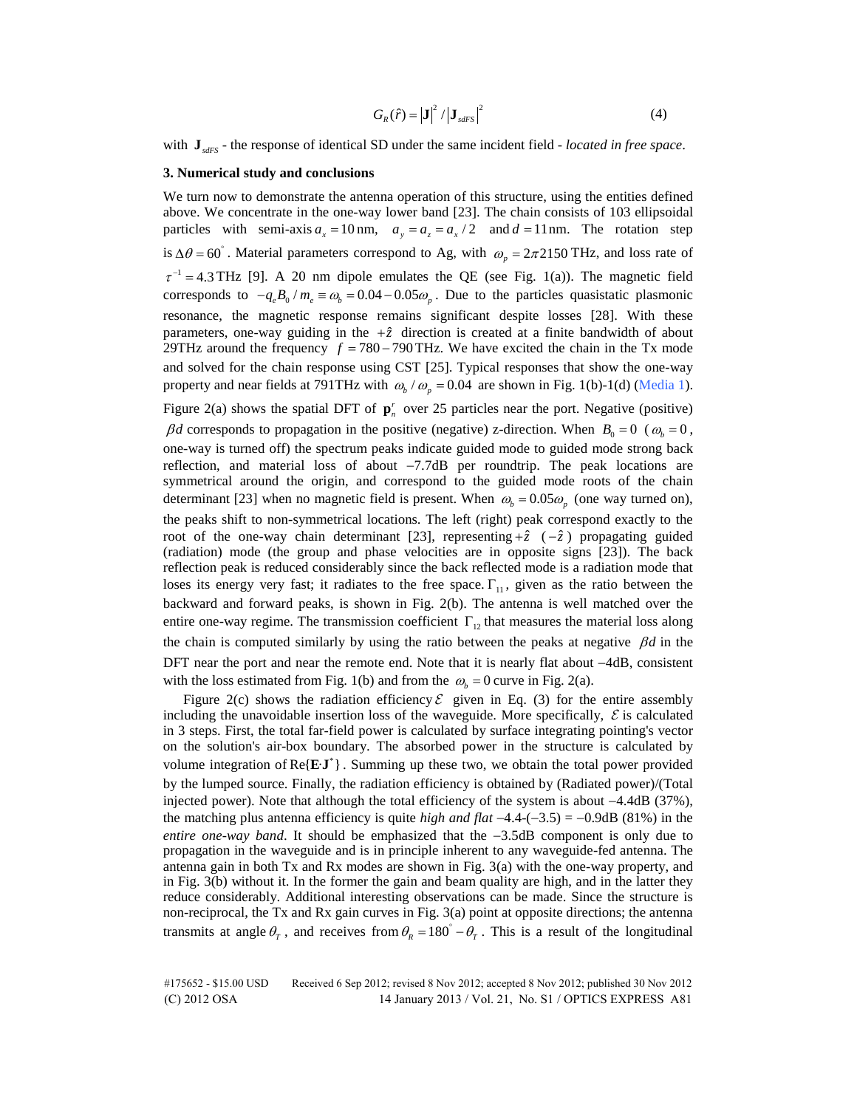$$
G_R(\hat{r}) = |\mathbf{J}|^2 / |\mathbf{J}_{sdFS}|^2 \tag{4}
$$

with **J**<sub>sdFS</sub> - the response of identical SD under the same incident field - *located in free space*.

### **3. Numerical study and conclusions**

We turn now to demonstrate the antenna operation of this structure, using the entities defined above. We concentrate in the one-way lower band [23]. The chain consists of 103 ellipsoidal particles with semi-axis  $a_x = 10$  nm,  $a_y = a_z = a_x / 2$  and  $d = 11$  nm. The rotation step is  $\Delta\theta = 60^\circ$ . Material parameters correspond to Ag, with  $\omega_p = 2\pi 2150 \text{ THz}$ , and loss rate of  $\tau^{-1} = 4.3$  THz [9]. A 20 nm dipole emulates the QE (see Fig. 1(a)). The magnetic field corresponds to  $-q_e B_0 / m_e \equiv \omega_b = 0.04 - 0.05 \omega_p$ . Due to the particles quasistatic plasmonic resonance, the magnetic response remains significant despite losses [28]. With these parameters, one-way guiding in the  $+\hat{z}$  direction is created at a finite bandwidth of about 29THz around the frequency  $f = 780 - 790$  THz. We have excited the chain in the Tx mode and solved for the chain response using CST [25]. Typical responses that show the one-way property and near fields at 791THz with  $\omega_b / \omega_p = 0.04$  are shown in Fig. 1(b)-1(d) ([Media 1\)](http://www.opticsinfobase.org/oe/viewmedia.cfm?uri=oe-21-S1-A77-1).

Figure 2(a) shows the spatial DFT of  $\mathbf{p}_n^r$  over 25 particles near the port. Negative (positive) β*d* corresponds to propagation in the positive (negative) z-direction. When  $B_0 = 0$  ( $ω_b = 0$ , one-way is turned off) the spectrum peaks indicate guided mode to guided mode strong back reflection, and material loss of about −7.7dB per roundtrip. The peak locations are symmetrical around the origin, and correspond to the guided mode roots of the chain determinant [23] when no magnetic field is present. When  $\omega_b = 0.05 \omega_p$  (one way turned on), the peaks shift to non-symmetrical locations. The left (right) peak correspond exactly to the root of the one-way chain determinant [23], representing  $+\hat{z}$  ( $-\hat{z}$ ) propagating guided (radiation) mode (the group and phase velocities are in opposite signs [23]). The back reflection peak is reduced considerably since the back reflected mode is a radiation mode that loses its energy very fast; it radiates to the free space.  $\Gamma_{11}$ , given as the ratio between the backward and forward peaks, is shown in Fig. 2(b). The antenna is well matched over the entire one-way regime. The transmission coefficient  $\Gamma_{12}$  that measures the material loss along the chain is computed similarly by using the ratio between the peaks at negative β*d* in the DFT near the port and near the remote end. Note that it is nearly flat about −4dB, consistent with the loss estimated from Fig. 1(b) and from the  $\omega_b = 0$  curve in Fig. 2(a).

Figure 2(c) shows the radiation efficiency  $\mathcal E$  given in Eq. (3) for the entire assembly including the unavoidable insertion loss of the waveguide. More specifically,  $\mathcal E$  is calculated in 3 steps. First, the total far-field power is calculated by surface integrating pointing's vector on the solution's air-box boundary. The absorbed power in the structure is calculated by volume integration of  $\text{Re}\{\mathbf{E}\cdot\mathbf{J}^*\}\$ . Summing up these two, we obtain the total power provided by the lumped source. Finally, the radiation efficiency is obtained by (Radiated power)/(Total injected power). Note that although the total efficiency of the system is about −4.4dB (37%), the matching plus antenna efficiency is quite *high and flat* −4.4-(−3.5) = −0.9dB (81%) in the *entire one-way band*. It should be emphasized that the −3.5dB component is only due to propagation in the waveguide and is in principle inherent to any waveguide-fed antenna. The antenna gain in both Tx and Rx modes are shown in Fig. 3(a) with the one-way property, and in Fig. 3(b) without it. In the former the gain and beam quality are high, and in the latter they reduce considerably. Additional interesting observations can be made. Since the structure is non-reciprocal, the Tx and Rx gain curves in Fig. 3(a) point at opposite directions; the antenna transmits at angle  $\theta_r$ , and receives from  $\theta_R = 180^\circ - \theta_r$ . This is a result of the longitudinal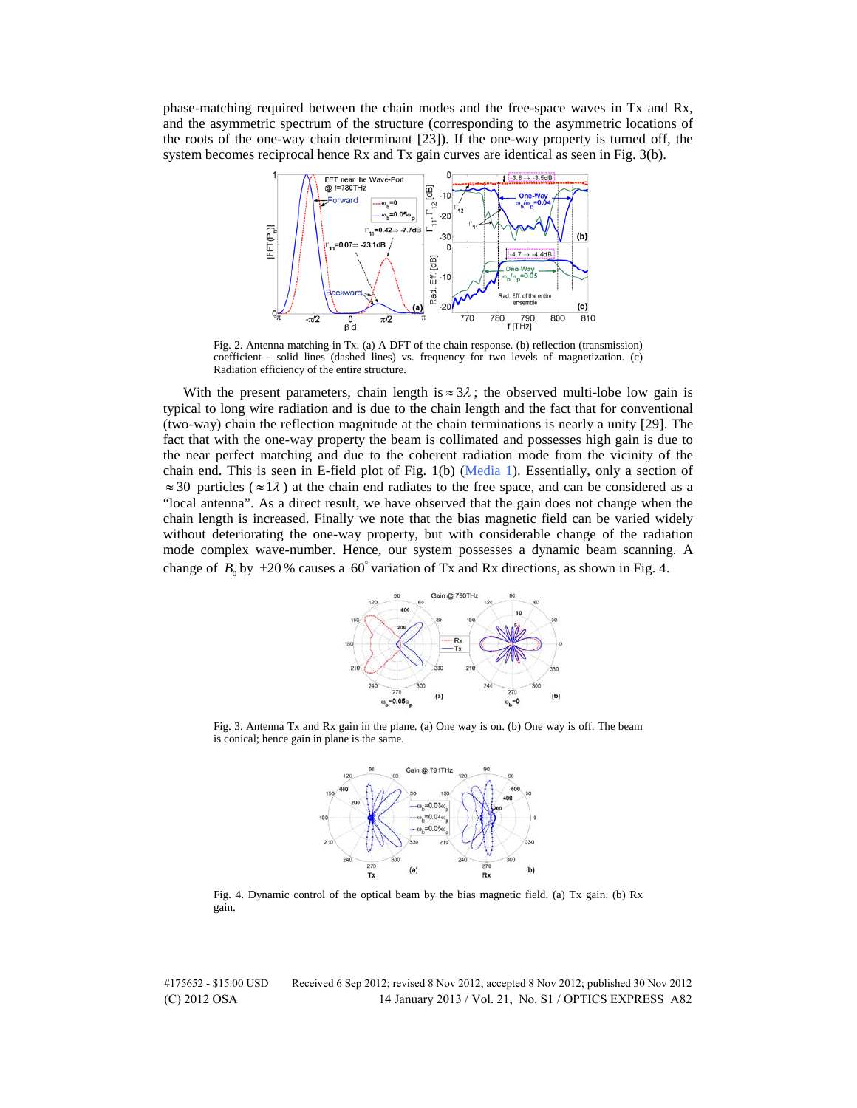phase-matching required between the chain modes and the free-space waves in Tx and Rx, and the asymmetric spectrum of the structure (corresponding to the asymmetric locations of the roots of the one-way chain determinant [23]). If the one-way property is turned off, the system becomes reciprocal hence Rx and Tx gain curves are identical as seen in Fig. 3(b).



Fig. 2. Antenna matching in Tx. (a) A DFT of the chain response. (b) reflection (transmission) coefficient - solid lines (dashed lines) vs. frequency for two levels of magnetization. (c) Radiation efficiency of the entire structure.

With the present parameters, chain length is  $\approx 3\lambda$ ; the observed multi-lobe low gain is typical to long wire radiation and is due to the chain length and the fact that for conventional (two-way) chain the reflection magnitude at the chain terminations is nearly a unity [29]. The fact that with the one-way property the beam is collimated and possesses high gain is due to the near perfect matching and due to the coherent radiation mode from the vicinity of the chain end. This is seen in E-field plot of Fig. 1(b) [\(Media 1](http://www.opticsinfobase.org/oe/viewmedia.cfm?uri=oe-21-S1-A77-1)). Essentially, only a section of  $\approx$  30 particles ( $\approx$  1 $\lambda$ ) at the chain end radiates to the free space, and can be considered as a "local antenna". As a direct result, we have observed that the gain does not change when the chain length is increased. Finally we note that the bias magnetic field can be varied widely without deteriorating the one-way property, but with considerable change of the radiation mode complex wave-number. Hence, our system possesses a dynamic beam scanning. A change of  $B_0$  by  $\pm 20$ % causes a 60° variation of Tx and Rx directions, as shown in Fig. 4.



Fig. 3. Antenna Tx and Rx gain in the plane. (a) One way is on. (b) One way is off. The beam is conical; hence gain in plane is the same.



Fig. 4. Dynamic control of the optical beam by the bias magnetic field. (a) Tx gain. (b) Rx gain.